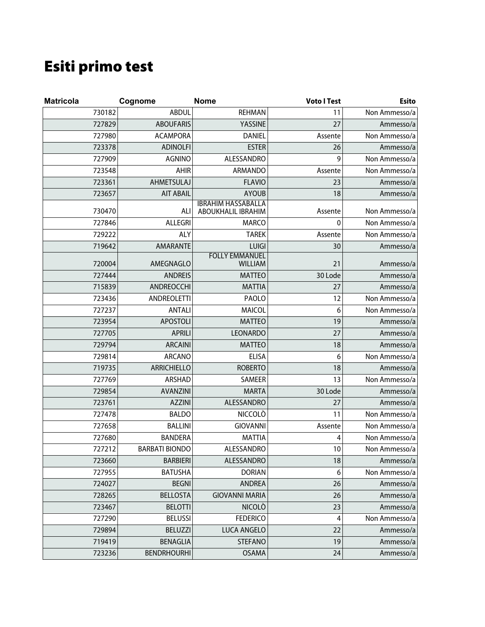## Esiti primo test

| <b>Matricola</b> | Cognome               | <b>Nome</b>                                     | <b>Voto I Test</b> | <b>Esito</b>  |
|------------------|-----------------------|-------------------------------------------------|--------------------|---------------|
| 730182           | <b>ABDUL</b>          | <b>REHMAN</b>                                   | 11                 | Non Ammesso/a |
| 727829           | <b>ABOUFARIS</b>      | YASSINE                                         | 27                 | Ammesso/a     |
| 727980           | <b>ACAMPORA</b>       | <b>DANIEL</b>                                   | Assente            | Non Ammesso/a |
| 723378           | <b>ADINOLFI</b>       | <b>ESTER</b>                                    | 26                 | Ammesso/a     |
| 727909           | <b>AGNINO</b>         | ALESSANDRO                                      | 9                  | Non Ammesso/a |
| 723548           | AHIR                  | ARMANDO                                         | Assente            | Non Ammesso/a |
| 723361           | AHMETSULAJ            | <b>FLAVIO</b>                                   | 23                 | Ammesso/a     |
| 723657           | <b>AIT ABAIL</b>      | <b>AYOUB</b>                                    | 18                 | Ammesso/a     |
| 730470           | ALI                   | <b>IBRAHIM HASSABALLA</b><br>ABOUKHALIL IBRAHIM | Assente            | Non Ammesso/a |
| 727846           | <b>ALLEGRI</b>        | <b>MARCO</b>                                    | 0                  | Non Ammesso/a |
| 729222           | ALY                   | <b>TAREK</b>                                    | Assente            | Non Ammesso/a |
| 719642           | <b>AMARANTE</b>       | <b>LUIGI</b>                                    | 30                 | Ammesso/a     |
| 720004           | AMEGNAGLO             | <b>FOLLY EMMANUEL</b><br>WILLIAM                | 21                 | Ammesso/a     |
| 727444           | <b>ANDREIS</b>        | <b>MATTEO</b>                                   | 30 Lode            | Ammesso/a     |
| 715839           | ANDREOCCHI            | <b>MATTIA</b>                                   | 27                 | Ammesso/a     |
| 723436           | ANDREOLETTI           | PAOLO                                           | 12                 | Non Ammesso/a |
| 727237           | <b>ANTALI</b>         | MAICOL                                          | 6                  | Non Ammesso/a |
| 723954           | <b>APOSTOLI</b>       | <b>MATTEO</b>                                   | 19                 | Ammesso/a     |
| 727705           | <b>APRILI</b>         | <b>LEONARDO</b>                                 | 27                 | Ammesso/a     |
| 729794           | <b>ARCAINI</b>        | <b>MATTEO</b>                                   | 18                 | Ammesso/a     |
| 729814           | <b>ARCANO</b>         | <b>ELISA</b>                                    | 6                  | Non Ammesso/a |
| 719735           | <b>ARRICHIELLO</b>    | <b>ROBERTO</b>                                  | 18                 | Ammesso/a     |
| 727769           | ARSHAD                | SAMEER                                          | 13                 | Non Ammesso/a |
| 729854           | <b>AVANZINI</b>       | <b>MARTA</b>                                    | 30 Lode            | Ammesso/a     |
| 723761           | <b>AZZINI</b>         | <b>ALESSANDRO</b>                               | 27                 | Ammesso/a     |
| 727478           | <b>BALDO</b>          | <b>NICCOLÒ</b>                                  | 11                 | Non Ammesso/a |
| 727658           | <b>BALLINI</b>        | <b>GIOVANNI</b>                                 | Assente            | Non Ammesso/a |
| 727680           | <b>BANDERA</b>        | <b>MATTIA</b>                                   | 4                  | Non Ammesso/a |
| 727212           | <b>BARBATI BIONDO</b> | ALESSANDRO                                      | $10\,$             | Non Ammesso/a |
| 723660           | <b>BARBIERI</b>       | ALESSANDRO                                      | 18                 | Ammesso/a     |
| 727955           | <b>BATUSHA</b>        | <b>DORIAN</b>                                   | 6                  | Non Ammesso/a |
| 724027           | <b>BEGNI</b>          | <b>ANDREA</b>                                   | 26                 | Ammesso/a     |
| 728265           | <b>BELLOSTA</b>       | <b>GIOVANNI MARIA</b>                           | 26                 | Ammesso/a     |
| 723467           | <b>BELOTTI</b>        | <b>NICOLÒ</b>                                   | 23                 | Ammesso/a     |
| 727290           | <b>BELUSSI</b>        | <b>FEDERICO</b>                                 | 4                  | Non Ammesso/a |
| 729894           | <b>BELUZZI</b>        | LUCA ANGELO                                     | 22                 | Ammesso/a     |
| 719419           | <b>BENAGLIA</b>       | <b>STEFANO</b>                                  | 19                 | Ammesso/a     |
| 723236           | <b>BENDRHOURHI</b>    | <b>OSAMA</b>                                    | 24                 | Ammesso/a     |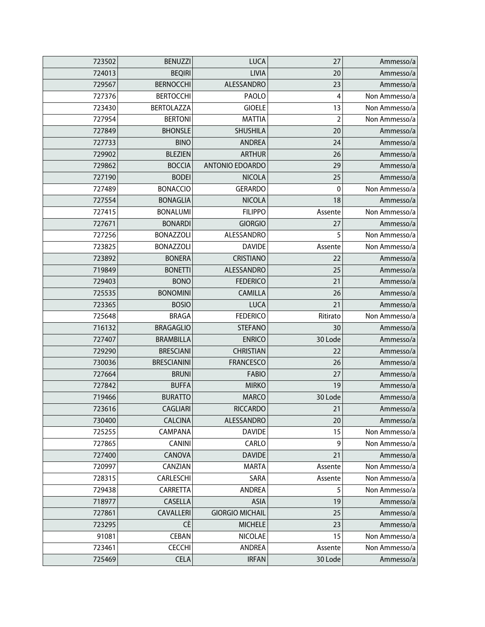| 723502 | <b>BENUZZI</b>     | <b>LUCA</b>            | 27       | Ammesso/a     |
|--------|--------------------|------------------------|----------|---------------|
| 724013 | <b>BEQIRI</b>      | LIVIA                  | 20       | Ammesso/a     |
| 729567 | <b>BERNOCCHI</b>   | ALESSANDRO             | 23       | Ammesso/a     |
| 727376 | <b>BERTOCCHI</b>   | PAOLO                  | 4        | Non Ammesso/a |
| 723430 | <b>BERTOLAZZA</b>  | <b>GIOELE</b>          | 13       | Non Ammesso/a |
| 727954 | <b>BERTONI</b>     | <b>MATTIA</b>          | 2        | Non Ammesso/a |
| 727849 | <b>BHONSLE</b>     | SHUSHILA               | 20       | Ammesso/a     |
| 727733 | <b>BINO</b>        | <b>ANDREA</b>          | 24       | Ammesso/a     |
| 729902 | <b>BLEZIEN</b>     | <b>ARTHUR</b>          | 26       | Ammesso/a     |
| 729862 | <b>BOCCIA</b>      | ANTONIO EDOARDO        | 29       | Ammesso/a     |
| 727190 | <b>BODEI</b>       | <b>NICOLA</b>          | 25       | Ammesso/a     |
| 727489 | <b>BONACCIO</b>    | <b>GERARDO</b>         | 0        | Non Ammesso/a |
| 727554 | <b>BONAGLIA</b>    | <b>NICOLA</b>          | 18       | Ammesso/a     |
| 727415 | <b>BONALUMI</b>    | <b>FILIPPO</b>         | Assente  | Non Ammesso/a |
| 727671 | <b>BONARDI</b>     | <b>GIORGIO</b>         | 27       | Ammesso/a     |
| 727256 | <b>BONAZZOLI</b>   | ALESSANDRO             | 5        | Non Ammesso/a |
| 723825 | <b>BONAZZOLI</b>   | <b>DAVIDE</b>          | Assente  | Non Ammesso/a |
| 723892 | <b>BONERA</b>      | CRISTIANO              | 22       | Ammesso/a     |
| 719849 | <b>BONETTI</b>     | ALESSANDRO             | 25       | Ammesso/a     |
| 729403 | <b>BONO</b>        | <b>FEDERICO</b>        | 21       | Ammesso/a     |
| 725535 | <b>BONOMINI</b>    | <b>CAMILLA</b>         | 26       | Ammesso/a     |
| 723365 | <b>BOSIO</b>       | <b>LUCA</b>            | 21       | Ammesso/a     |
| 725648 | <b>BRAGA</b>       | <b>FEDERICO</b>        | Ritirato | Non Ammesso/a |
| 716132 | <b>BRAGAGLIO</b>   | <b>STEFANO</b>         | 30       | Ammesso/a     |
| 727407 | <b>BRAMBILLA</b>   | <b>ENRICO</b>          | 30 Lode  | Ammesso/a     |
| 729290 | <b>BRESCIANI</b>   | <b>CHRISTIAN</b>       | 22       | Ammesso/a     |
| 730036 | <b>BRESCIANINI</b> | <b>FRANCESCO</b>       | 26       | Ammesso/a     |
| 727664 | <b>BRUNI</b>       | <b>FABIO</b>           | 27       | Ammesso/a     |
| 727842 | <b>BUFFA</b>       | <b>MIRKO</b>           | 19       | Ammesso/a     |
| 719466 | <b>BURATTO</b>     | <b>MARCO</b>           | 30 Lode  | Ammesso/a     |
| 723616 | CAGLIARI           | <b>RICCARDO</b>        | 21       | Ammesso/a     |
| 730400 | <b>CALCINA</b>     | ALESSANDRO             | 20       | Ammesso/a     |
| 725255 | CAMPANA            | <b>DAVIDE</b>          | 15       | Non Ammesso/a |
| 727865 | <b>CANINI</b>      | CARLO                  | 9        | Non Ammesso/a |
| 727400 | CANOVA             | <b>DAVIDE</b>          | 21       | Ammesso/a     |
| 720997 | CANZIAN            | <b>MARTA</b>           | Assente  | Non Ammesso/a |
| 728315 | CARLESCHI          | SARA                   | Assente  | Non Ammesso/a |
| 729438 | CARRETTA           | <b>ANDREA</b>          | 5        | Non Ammesso/a |
| 718977 | CASELLA            | <b>ASIA</b>            | 19       | Ammesso/a     |
| 727861 | CAVALLERI          | <b>GIORGIO MICHAIL</b> | 25       | Ammesso/a     |
| 723295 | CÈ                 | <b>MICHELE</b>         | 23       | Ammesso/a     |
| 91081  | CEBAN              | <b>NICOLAE</b>         | 15       | Non Ammesso/a |
| 723461 | <b>CECCHI</b>      | <b>ANDREA</b>          | Assente  | Non Ammesso/a |
| 725469 | <b>CELA</b>        | <b>IRFAN</b>           | 30 Lode  | Ammesso/a     |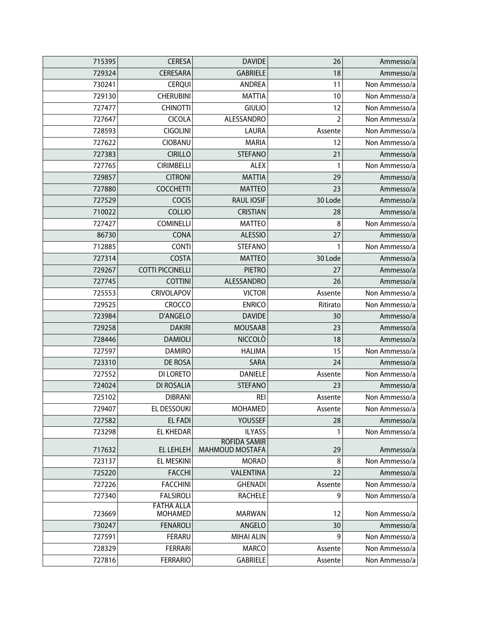| 715395 | <b>CERESA</b>                       | <b>DAVIDE</b>                          | 26             | Ammesso/a     |
|--------|-------------------------------------|----------------------------------------|----------------|---------------|
| 729324 | CERESARA                            | <b>GABRIELE</b>                        | 18             | Ammesso/a     |
| 730241 | <b>CERQUI</b>                       | ANDREA                                 | 11             | Non Ammesso/a |
| 729130 | <b>CHERUBINI</b>                    | <b>MATTIA</b>                          | 10             | Non Ammesso/a |
| 727477 | <b>CHINOTTI</b>                     | <b>GIULIO</b>                          | 12             | Non Ammesso/a |
| 727647 | <b>CICOLA</b>                       | ALESSANDRO                             | $\overline{2}$ | Non Ammesso/a |
| 728593 | <b>CIGOLINI</b>                     | <b>LAURA</b>                           | Assente        | Non Ammesso/a |
| 727622 | CIOBANU                             | <b>MARIA</b>                           | 12             | Non Ammesso/a |
| 727383 | <b>CIRILLO</b>                      | <b>STEFANO</b>                         | 21             | Ammesso/a     |
| 727765 | <b>CIRIMBELLI</b>                   | ALEX                                   | 1              | Non Ammesso/a |
| 729857 | <b>CITRONI</b>                      | <b>MATTIA</b>                          | 29             | Ammesso/a     |
| 727880 | <b>COCCHETTI</b>                    | <b>MATTEO</b>                          | 23             | Ammesso/a     |
| 727529 | COCIS                               | <b>RAUL IOSIF</b>                      | 30 Lode        | Ammesso/a     |
| 710022 | COLLIO                              | <b>CRISTIAN</b>                        | 28             | Ammesso/a     |
| 727427 | <b>COMINELLI</b>                    | <b>MATTEO</b>                          | 8              | Non Ammesso/a |
| 86730  | CONA                                | <b>ALESSIO</b>                         | 27             | Ammesso/a     |
| 712885 | <b>CONTI</b>                        | <b>STEFANO</b>                         | 1              | Non Ammesso/a |
| 727314 | <b>COSTA</b>                        | <b>MATTEO</b>                          | 30 Lode        | Ammesso/a     |
| 729267 | <b>COTTI PICCINELLI</b>             | <b>PIETRO</b>                          | 27             | Ammesso/a     |
| 727745 | <b>COTTINI</b>                      | ALESSANDRO                             | 26             | Ammesso/a     |
| 725553 | CRIVOLAPOV                          | <b>VICTOR</b>                          | Assente        | Non Ammesso/a |
| 729525 | <b>CROCCO</b>                       | <b>ENRICO</b>                          | Ritirato       | Non Ammesso/a |
| 723984 | D'ANGELO                            | <b>DAVIDE</b>                          | 30             | Ammesso/a     |
| 729258 | <b>DAKIRI</b>                       | <b>MOUSAAB</b>                         | 23             | Ammesso/a     |
| 728446 | <b>DAMIOLI</b>                      | <b>NICCOLO</b>                         | 18             | Ammesso/a     |
| 727597 | <b>DAMIRO</b>                       | <b>HALIMA</b>                          | 15             | Non Ammesso/a |
| 723310 | DE ROSA                             | SARA                                   | 24             | Ammesso/a     |
| 727552 | DI LORETO                           | <b>DANIELE</b>                         | Assente        | Non Ammesso/a |
| 724024 | DI ROSALIA                          | <b>STEFANO</b>                         | 23             | Ammesso/a     |
| 725102 | <b>DIBRANI</b>                      | <b>REI</b>                             | Assente        | Non Ammesso/a |
| 729407 | EL DESSOUKI                         | <b>MOHAMED</b>                         | Assente        | Non Ammesso/a |
| 727582 | <b>EL FADI</b>                      | YOUSSEF                                | 28             | Ammesso/a     |
| 723298 | EL KHEDAR                           | <b>ILYASS</b>                          | 1              | Non Ammesso/a |
| 717632 | EL LEHLEH                           | <b>ROFIDA SAMIR</b><br>MAHMOUD MOSTAFA | 29             | Ammesso/a     |
| 723137 | EL MESKINI                          | <b>MORAD</b>                           | 8              | Non Ammesso/a |
| 725220 | <b>FACCHI</b>                       | VALENTINA                              | 22             | Ammesso/a     |
| 727226 | <b>FACCHINI</b>                     | <b>GHENADI</b>                         | Assente        | Non Ammesso/a |
| 727340 | <b>FALSIROLI</b>                    | <b>RACHELE</b>                         | 9              | Non Ammesso/a |
| 723669 | <b>FATHA ALLA</b><br><b>MOHAMED</b> | <b>MARWAN</b>                          | 12             | Non Ammesso/a |
| 730247 | <b>FENAROLI</b>                     | ANGELO                                 | 30             | Ammesso/a     |
| 727591 | FERARU                              | <b>MIHAI ALIN</b>                      | 9              | Non Ammesso/a |
| 728329 | <b>FERRARI</b>                      | <b>MARCO</b>                           | Assente        | Non Ammesso/a |
| 727816 | <b>FERRARIO</b>                     | <b>GABRIELE</b>                        | Assente        | Non Ammesso/a |
|        |                                     |                                        |                |               |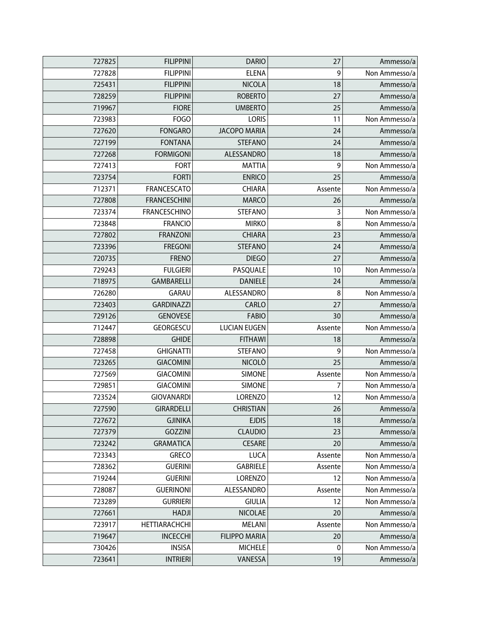| 727825 | <b>FILIPPINI</b>     | <b>DARIO</b>         | 27      | Ammesso/a     |
|--------|----------------------|----------------------|---------|---------------|
| 727828 | <b>FILIPPINI</b>     | <b>ELENA</b>         | 9       | Non Ammesso/a |
| 725431 | <b>FILIPPINI</b>     | <b>NICOLA</b>        | 18      | Ammesso/a     |
| 728259 | <b>FILIPPINI</b>     | <b>ROBERTO</b>       | 27      | Ammesso/a     |
| 719967 | <b>FIORE</b>         | <b>UMBERTO</b>       | 25      | Ammesso/a     |
| 723983 | FOGO                 | <b>LORIS</b>         | 11      | Non Ammesso/a |
| 727620 | <b>FONGARO</b>       | <b>JACOPO MARIA</b>  | 24      | Ammesso/a     |
| 727199 | <b>FONTANA</b>       | <b>STEFANO</b>       | 24      | Ammesso/a     |
| 727268 | <b>FORMIGONI</b>     | ALESSANDRO           | 18      | Ammesso/a     |
| 727413 | <b>FORT</b>          | <b>MATTIA</b>        | 9       | Non Ammesso/a |
| 723754 | <b>FORTI</b>         | <b>ENRICO</b>        | 25      | Ammesso/a     |
| 712371 | FRANCESCATO          | <b>CHIARA</b>        | Assente | Non Ammesso/a |
| 727808 | <b>FRANCESCHINI</b>  | <b>MARCO</b>         | 26      | Ammesso/a     |
| 723374 | <b>FRANCESCHINO</b>  | <b>STEFANO</b>       | 3       | Non Ammesso/a |
| 723848 | <b>FRANCIO</b>       | <b>MIRKO</b>         | 8       | Non Ammesso/a |
| 727802 | <b>FRANZONI</b>      | <b>CHIARA</b>        | 23      | Ammesso/a     |
| 723396 | <b>FREGONI</b>       | <b>STEFANO</b>       | 24      | Ammesso/a     |
| 720735 | <b>FRENO</b>         | <b>DIEGO</b>         | 27      | Ammesso/a     |
| 729243 | <b>FULGIERI</b>      | PASQUALE             | 10      | Non Ammesso/a |
| 718975 | <b>GAMBARELLI</b>    | <b>DANIELE</b>       | 24      | Ammesso/a     |
| 726280 | GARAU                | ALESSANDRO           | 8       | Non Ammesso/a |
| 723403 | <b>GARDINAZZI</b>    | CARLO                | 27      | Ammesso/a     |
| 729126 | <b>GENOVESE</b>      | <b>FABIO</b>         | 30      | Ammesso/a     |
| 712447 | GEORGESCU            | <b>LUCIAN EUGEN</b>  | Assente | Non Ammesso/a |
| 728898 | <b>GHIDE</b>         | <b>FITHAWI</b>       | 18      | Ammesso/a     |
| 727458 | <b>GHIGNATTI</b>     | <b>STEFANO</b>       | 9       | Non Ammesso/a |
| 723265 | <b>GIACOMINI</b>     | <b>NICOLO</b>        | 25      | Ammesso/a     |
| 727569 | <b>GIACOMINI</b>     | <b>SIMONE</b>        | Assente | Non Ammesso/a |
| 729851 | <b>GIACOMINI</b>     | <b>SIMONE</b>        | 7       | Non Ammesso/a |
| 723524 | <b>GIOVANARDI</b>    | <b>LORENZO</b>       | 12      | Non Ammesso/a |
| 727590 | <b>GIRARDELLI</b>    | <b>CHRISTIAN</b>     | 26      | Ammesso/a     |
| 727672 | <b>GJINIKA</b>       | <b>EJDIS</b>         | 18      | Ammesso/a     |
| 727379 | <b>GOZZINI</b>       | <b>CLAUDIO</b>       | 23      | Ammesso/a     |
| 723242 | <b>GRAMATICA</b>     | <b>CESARE</b>        | 20      | Ammesso/a     |
| 723343 | <b>GRECO</b>         | <b>LUCA</b>          | Assente | Non Ammesso/a |
| 728362 | <b>GUERINI</b>       | <b>GABRIELE</b>      | Assente | Non Ammesso/a |
| 719244 | <b>GUERINI</b>       | <b>LORENZO</b>       | 12      | Non Ammesso/a |
| 728087 | <b>GUERINONI</b>     | ALESSANDRO           | Assente | Non Ammesso/a |
| 723289 | <b>GURRIERI</b>      | <b>GIULIA</b>        | 12      | Non Ammesso/a |
| 727661 | <b>HADJI</b>         | <b>NICOLAE</b>       | 20      | Ammesso/a     |
| 723917 | <b>HETTIARACHCHI</b> | MELANI               | Assente | Non Ammesso/a |
| 719647 | <b>INCECCHI</b>      | <b>FILIPPO MARIA</b> | 20      | Ammesso/a     |
| 730426 | <b>INSISA</b>        | <b>MICHELE</b>       | 0       | Non Ammesso/a |
| 723641 | <b>INTRIERI</b>      | VANESSA              | 19      | Ammesso/a     |